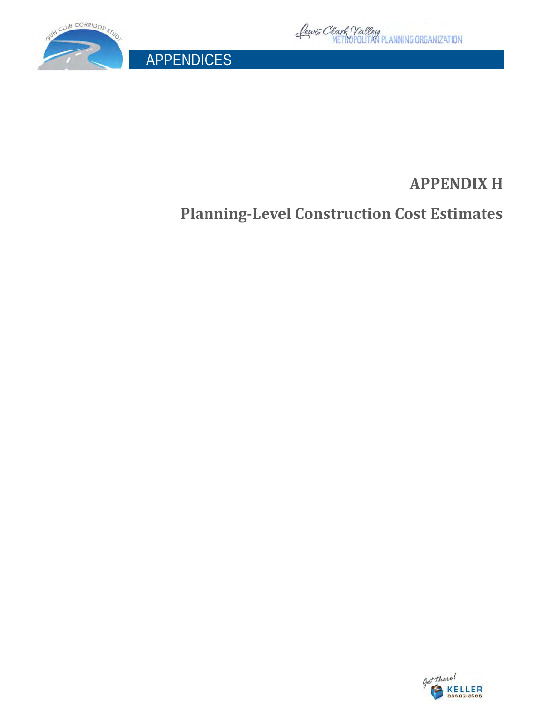



APPENDICES

# **APPENDIX H**

**Planning-Level Construction Cost Estimates**

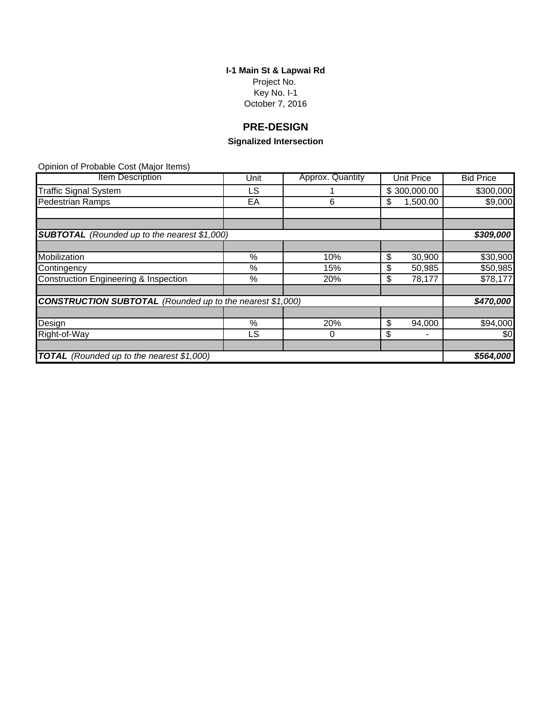**I-1 Main St & Lapwai Rd** Project No. Key No. I-1 October 7, 2016

# **PRE-DESIGN**

# **Signalized Intersection**

| <b>Item Description</b>                                          | Unit | Approx. Quantity | <b>Unit Price</b> | <b>Bid Price</b> |
|------------------------------------------------------------------|------|------------------|-------------------|------------------|
| <b>Traffic Signal System</b>                                     | LS.  |                  | \$300,000.00      | \$300,000        |
| <b>Pedestrian Ramps</b>                                          | EA   | 6                | 1,500.00<br>S     | \$9,000          |
|                                                                  |      |                  |                   |                  |
|                                                                  |      |                  |                   |                  |
| <b>SUBTOTAL</b> (Rounded up to the nearest \$1,000)              |      |                  |                   | \$309,000        |
|                                                                  |      |                  |                   |                  |
| Mobilization                                                     | %    | 10%              | \$<br>30,900      | \$30,900         |
| Contingency                                                      | %    | 15%              | 50,985<br>\$      | \$50,985         |
| <b>Construction Engineering &amp; Inspection</b>                 | %    | 20%              | 78,177<br>S       | \$78,177         |
|                                                                  |      |                  |                   |                  |
| <b>CONSTRUCTION SUBTOTAL</b> (Rounded up to the nearest \$1,000) |      |                  |                   | \$470,000        |
|                                                                  |      |                  |                   |                  |
| Design                                                           | $\%$ | 20%              | \$<br>94,000      | \$94,000         |
| Right-of-Way                                                     | LS   | 0                | \$                | \$0              |
|                                                                  |      |                  |                   |                  |
| TOTAL (Rounded up to the nearest \$1,000)                        |      |                  |                   | \$564,000        |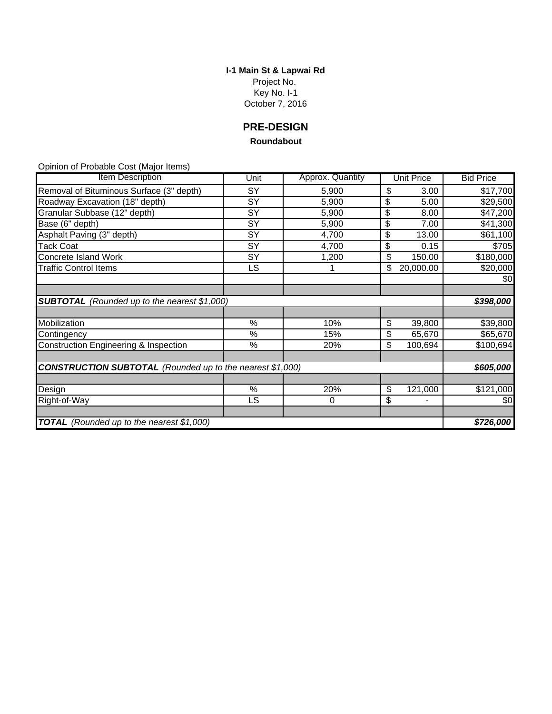**I-1 Main St & Lapwai Rd** Project No. Key No. I-1 October 7, 2016

**PRE-DESIGN**

#### **Roundabout**

| Item Description                                                 | Unit | Approx. Quantity | <b>Unit Price</b> | <b>Bid Price</b> |  |
|------------------------------------------------------------------|------|------------------|-------------------|------------------|--|
| Removal of Bituminous Surface (3" depth)                         | SY   | 5,900            | \$<br>3.00        | \$17,700         |  |
| Roadway Excavation (18" depth)                                   | SY   | 5,900            | \$<br>5.00        | \$29,500         |  |
| Granular Subbase (12" depth)                                     | SY   | 5,900            | \$<br>8.00        | \$47,200         |  |
| Base (6" depth)                                                  | SY   | 5,900            | \$<br>7.00        | \$41,300         |  |
| Asphalt Paving (3" depth)                                        | SY   | 4,700            | \$<br>13.00       | \$61,100         |  |
| <b>Tack Coat</b>                                                 | SY   | 4,700            | \$<br>0.15        | \$705            |  |
| Concrete Island Work                                             | SY   | 1,200            | \$<br>150.00      | \$180,000        |  |
| <b>Traffic Control Items</b>                                     | LS   |                  | \$<br>20,000.00   | \$20,000         |  |
|                                                                  |      |                  |                   | \$0              |  |
|                                                                  |      |                  |                   |                  |  |
| <b>SUBTOTAL</b> (Rounded up to the nearest \$1,000)              |      |                  |                   | \$398,000        |  |
|                                                                  |      |                  |                   |                  |  |
| Mobilization                                                     | %    | 10%              | \$<br>39,800      | \$39,800         |  |
| Contingency                                                      | %    | 15%              | \$<br>65,670      | \$65,670         |  |
| Construction Engineering & Inspection                            | %    | 20%              | \$<br>100,694     | \$100,694        |  |
|                                                                  |      |                  |                   |                  |  |
| <b>CONSTRUCTION SUBTOTAL</b> (Rounded up to the nearest \$1,000) |      |                  |                   |                  |  |
|                                                                  |      |                  |                   |                  |  |
| Design                                                           | %    | 20%              | \$<br>121,000     | \$121,000        |  |
| Right-of-Way                                                     | LS   | $\mathbf 0$      | \$<br>-           | \$0              |  |
|                                                                  |      |                  |                   |                  |  |
| TOTAL (Rounded up to the nearest \$1,000)                        |      |                  |                   | \$726,000        |  |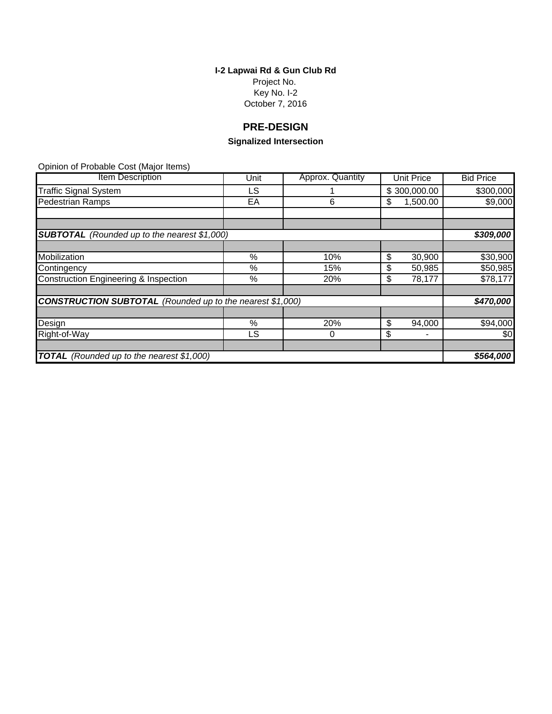**I-2 Lapwai Rd & Gun Club Rd** Project No. Key No. I-2 October 7, 2016

# **PRE-DESIGN**

# **Signalized Intersection**

| <b>Item Description</b>                                          | Unit | Approx. Quantity | <b>Unit Price</b> | <b>Bid Price</b> |
|------------------------------------------------------------------|------|------------------|-------------------|------------------|
| <b>Traffic Signal System</b>                                     | LS.  |                  | \$300,000.00      | \$300,000        |
| <b>Pedestrian Ramps</b>                                          | EA   | 6                | 1,500.00<br>S     | \$9,000          |
|                                                                  |      |                  |                   |                  |
|                                                                  |      |                  |                   |                  |
| <b>SUBTOTAL</b> (Rounded up to the nearest \$1,000)              |      |                  |                   | \$309,000        |
|                                                                  |      |                  |                   |                  |
| Mobilization                                                     | %    | 10%              | \$<br>30,900      | \$30,900         |
| Contingency                                                      | %    | 15%              | \$<br>50,985      | \$50,985         |
| <b>Construction Engineering &amp; Inspection</b>                 | %    | 20%              | 78,177<br>S       | \$78,177         |
|                                                                  |      |                  |                   |                  |
| <b>CONSTRUCTION SUBTOTAL</b> (Rounded up to the nearest \$1,000) |      |                  |                   | \$470,000        |
|                                                                  |      |                  |                   |                  |
| Design                                                           | %    | 20%              | S<br>94,000       | \$94,000         |
| Right-of-Way                                                     | LS.  | 0                | \$                | \$0              |
|                                                                  |      |                  |                   |                  |
| TOTAL (Rounded up to the nearest \$1,000)                        |      |                  |                   | \$564,000        |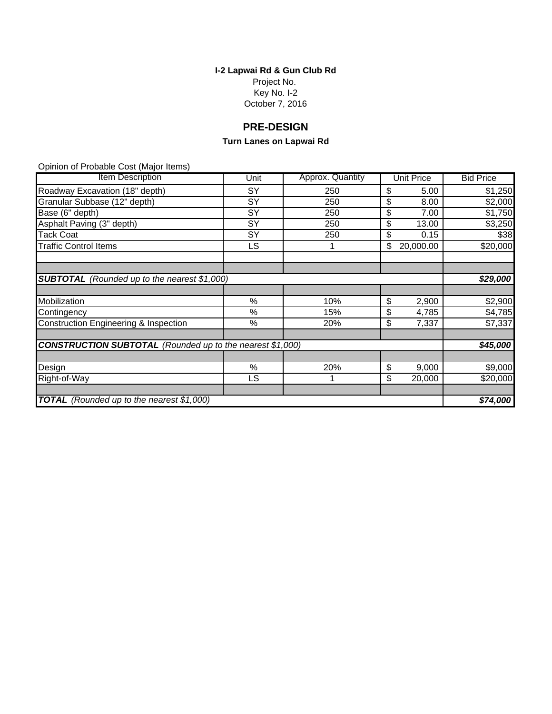#### **I-2 Lapwai Rd & Gun Club Rd** Project No. Key No. I-2 October 7, 2016

# **PRE-DESIGN**

# **Turn Lanes on Lapwai Rd**

| <b>Item Description</b>                                          | Unit | Approx. Quantity |    | <b>Unit Price</b> | <b>Bid Price</b> |
|------------------------------------------------------------------|------|------------------|----|-------------------|------------------|
| Roadway Excavation (18" depth)                                   | SY   | 250              | \$ | 5.00              | \$1,250          |
| Granular Subbase (12" depth)                                     | SY   | 250              | \$ | 8.00              | \$2,000          |
| Base (6" depth)                                                  | SY   | 250              | \$ | 7.00              | \$1,750          |
| Asphalt Paving (3" depth)                                        | SY   | 250              | \$ | 13.00             | \$3,250          |
| <b>Tack Coat</b>                                                 | SY   | 250              | \$ | 0.15              | \$38             |
| <b>Traffic Control Items</b>                                     | LS   |                  | \$ | 20,000.00         | \$20,000         |
|                                                                  |      |                  |    |                   |                  |
| <b>SUBTOTAL</b> (Rounded up to the nearest \$1,000)              |      |                  |    |                   | \$29,000         |
|                                                                  |      |                  |    |                   |                  |
| Mobilization                                                     | %    | 10%              | \$ | 2,900             | \$2,900          |
| Contingency                                                      | %    | 15%              | \$ | 4,785             | \$4,785          |
| <b>Construction Engineering &amp; Inspection</b>                 | %    | 20%              | \$ | 7,337             | \$7,337          |
| <b>CONSTRUCTION SUBTOTAL</b> (Rounded up to the nearest \$1,000) |      |                  |    |                   |                  |
|                                                                  |      |                  |    |                   |                  |
| Design                                                           | %    | 20%              | \$ | 9,000             | \$9,000          |
| Right-of-Way                                                     | LS   |                  | \$ | 20,000            | \$20,000         |
|                                                                  |      |                  |    |                   |                  |
| <b>TOTAL</b> (Rounded up to the nearest \$1,000)                 |      |                  |    |                   | \$74,000         |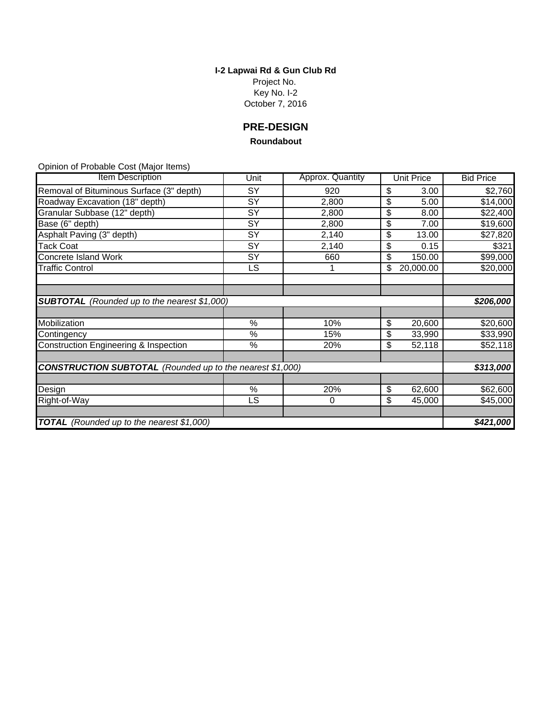**I-2 Lapwai Rd & Gun Club Rd** Project No. Key No. I-2 October 7, 2016

**PRE-DESIGN**

#### **Roundabout**

| <b>Item Description</b>                                          | Unit | Approx. Quantity | <b>Unit Price</b> | <b>Bid Price</b> |
|------------------------------------------------------------------|------|------------------|-------------------|------------------|
| Removal of Bituminous Surface (3" depth)                         | SY   | 920              | \$<br>3.00        | \$2,760          |
| Roadway Excavation (18" depth)                                   | SY   | 2,800            | \$<br>5.00        | \$14,000         |
| Granular Subbase (12" depth)                                     | SY   | 2,800            | \$<br>8.00        | \$22,400         |
| Base (6" depth)                                                  | SY   | 2,800            | \$<br>7.00        | \$19,600         |
| Asphalt Paving (3" depth)                                        | SY   | 2,140            | \$<br>13.00       | \$27,820         |
| <b>Tack Coat</b>                                                 | SY   | 2,140            | \$<br>0.15        | \$321            |
| Concrete Island Work                                             | SY   | 660              | \$<br>150.00      | \$99,000         |
| <b>Traffic Control</b>                                           | LS   | 1                | \$<br>20,000.00   | \$20,000         |
|                                                                  |      |                  |                   |                  |
|                                                                  |      |                  |                   |                  |
| <b>SUBTOTAL</b> (Rounded up to the nearest \$1,000)              |      |                  |                   | \$206,000        |
|                                                                  |      |                  |                   |                  |
| Mobilization                                                     | %    | 10%              | \$<br>20,600      | \$20,600         |
| Contingency                                                      | $\%$ | 15%              | \$<br>33,990      | \$33,990         |
| Construction Engineering & Inspection                            | %    | 20%              | \$<br>52,118      | \$52,118         |
|                                                                  |      |                  |                   |                  |
| <b>CONSTRUCTION SUBTOTAL</b> (Rounded up to the nearest \$1,000) |      |                  |                   | \$313,000        |
|                                                                  |      |                  |                   |                  |
| Design                                                           | $\%$ | 20%              | \$<br>62,600      | \$62,600         |
| Right-of-Way                                                     | LS   | $\mathbf 0$      | \$<br>45,000      | \$45,000         |
|                                                                  |      |                  |                   |                  |
| TOTAL (Rounded up to the nearest \$1,000)                        |      |                  |                   | \$421,000        |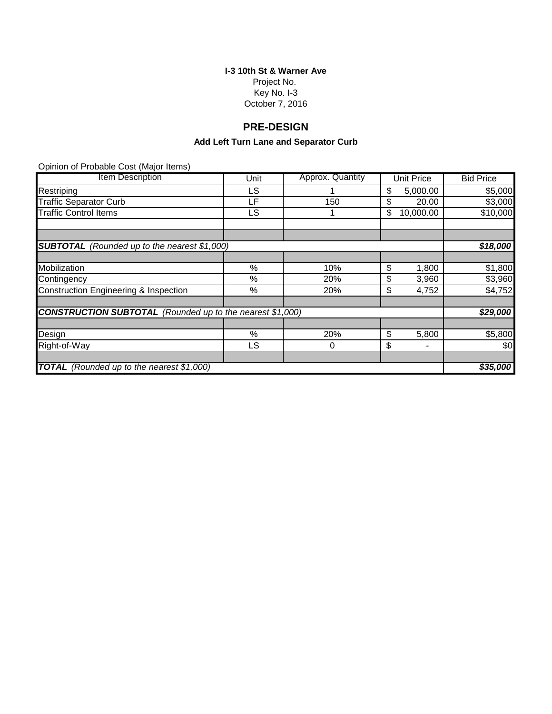# **I-3 10th St & Warner Ave** Project No.

Key No. I-3 October 7, 2016

# **PRE-DESIGN**

# **Add Left Turn Lane and Separator Curb**

| Item Description                                                 | Unit | Approx. Quantity | Unit Price      | <b>Bid Price</b> |
|------------------------------------------------------------------|------|------------------|-----------------|------------------|
| Restriping                                                       | LS   |                  | \$<br>5,000.00  | \$5,000          |
| <b>Traffic Separator Curb</b>                                    | LF   | 150              | \$<br>20.00     | \$3,000          |
| <b>Traffic Control Items</b>                                     | LS   |                  | \$<br>10,000.00 | \$10,000         |
|                                                                  |      |                  |                 |                  |
|                                                                  |      |                  |                 |                  |
| <b>SUBTOTAL</b> (Rounded up to the nearest \$1,000)              |      |                  |                 | \$18,000         |
|                                                                  |      |                  |                 |                  |
| Mobilization                                                     | %    | 10%              | \$<br>1,800     | \$1,800          |
| Contingency                                                      | %    | 20%              | \$<br>3,960     | \$3,960          |
| Construction Engineering & Inspection                            | %    | 20%              | \$<br>4,752     | \$4,752          |
|                                                                  |      |                  |                 |                  |
| <b>CONSTRUCTION SUBTOTAL</b> (Rounded up to the nearest \$1,000) |      |                  |                 | \$29,000         |
|                                                                  |      |                  |                 |                  |
| Design                                                           | %    | 20%              | \$<br>5,800     | \$5,800          |
| Right-of-Way                                                     | LS   | 0                | \$              | \$0              |
|                                                                  |      |                  |                 |                  |
| <b>TOTAL</b><br>(Rounded up to the nearest \$1,000)              |      |                  |                 | \$35,000         |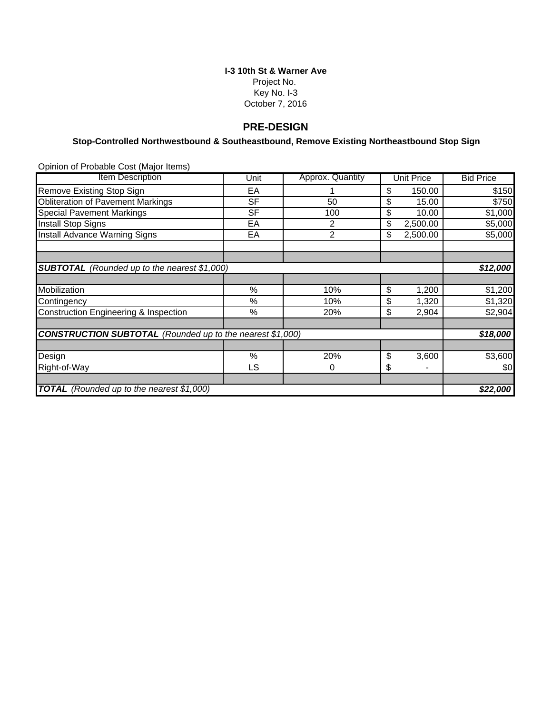#### **I-3 10th St & Warner Ave** Project No. Key No. I-3 October 7, 2016

#### **PRE-DESIGN**

## **Stop-Controlled Northwestbound & Southeastbound, Remove Existing Northeastbound Stop Sign**

| <b>Item Description</b>                                          | Unit      | Approx. Quantity | <b>Unit Price</b> | <b>Bid Price</b> |  |
|------------------------------------------------------------------|-----------|------------------|-------------------|------------------|--|
| Remove Existing Stop Sign                                        | EA        |                  | 150.00<br>\$      | \$150            |  |
| <b>Obliteration of Pavement Markings</b>                         | <b>SF</b> | 50               | \$<br>15.00       | \$750            |  |
| <b>Special Pavement Markings</b>                                 | <b>SF</b> | 100              | \$<br>10.00       | \$1,000          |  |
| <b>Install Stop Signs</b>                                        | EA        | 2                | \$<br>2,500.00    | \$5,000          |  |
| Install Advance Warning Signs                                    | EA        | $\overline{2}$   | \$<br>2,500.00    | \$5,000          |  |
|                                                                  |           |                  |                   |                  |  |
| <b>SUBTOTAL</b> (Rounded up to the nearest \$1,000)              |           |                  |                   | \$12,000         |  |
|                                                                  |           |                  |                   |                  |  |
| Mobilization                                                     | %         | 10%              | \$<br>1,200       | \$1,200          |  |
| Contingency                                                      | %         | 10%              | \$<br>1,320       | \$1,320          |  |
| Construction Engineering & Inspection                            | %         | 20%              | \$<br>2,904       | \$2,904          |  |
| <b>CONSTRUCTION SUBTOTAL</b> (Rounded up to the nearest \$1,000) |           |                  |                   | \$18,000         |  |
|                                                                  |           |                  |                   |                  |  |
| Design                                                           | $\%$      | 20%              | \$<br>3,600       | \$3,600          |  |
| Right-of-Way                                                     | LS        | 0                | \$                | \$0              |  |
| TOTAL (Rounded up to the nearest \$1,000)                        |           |                  |                   |                  |  |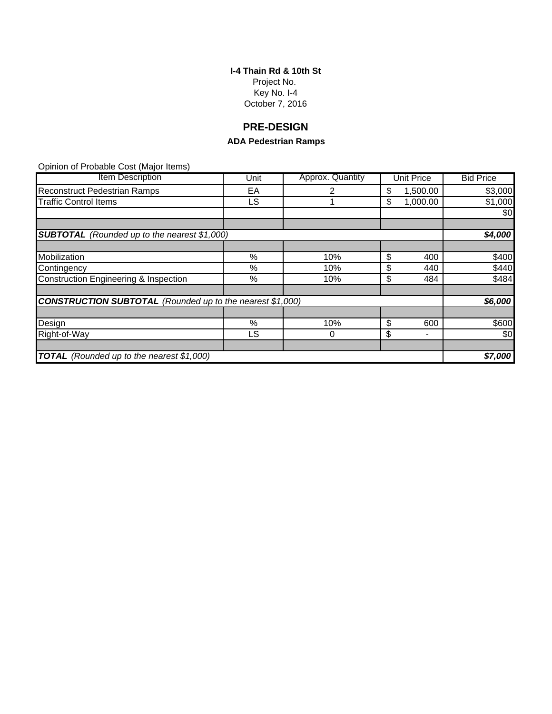**I-4 Thain Rd & 10th St** Project No. Key No. I-4 October 7, 2016

# **PRE-DESIGN**

# **ADA Pedestrian Ramps**

| <b>Item Description</b>                                          | Unit | Approx. Quantity | Unit Price     | <b>Bid Price</b> |
|------------------------------------------------------------------|------|------------------|----------------|------------------|
| <b>Reconstruct Pedestrian Ramps</b>                              | EА   |                  | \$<br>1,500.00 | \$3,000          |
| <b>Traffic Control Items</b>                                     | LS   |                  | \$<br>1,000.00 | \$1,000          |
|                                                                  |      |                  |                | \$0              |
|                                                                  |      |                  |                |                  |
| <b>SUBTOTAL</b> (Rounded up to the nearest \$1,000)              |      |                  |                | \$4,000          |
|                                                                  |      |                  |                |                  |
| Mobilization                                                     | %    | 10%              | \$<br>400      | \$400            |
| Contingency                                                      | %    | 10%              | \$<br>440      | \$440            |
| Construction Engineering & Inspection                            | %    | 10%              | \$<br>484      | \$484            |
|                                                                  |      |                  |                |                  |
| <b>CONSTRUCTION SUBTOTAL</b> (Rounded up to the nearest \$1,000) |      |                  |                | \$6,000          |
|                                                                  |      |                  |                |                  |
| Design                                                           | %    | 10%              | \$<br>600      | \$600            |
| Right-of-Way                                                     | LS.  | 0                | \$<br>-        | \$0              |
|                                                                  |      |                  |                |                  |
| <b>TOTAL</b> (Rounded up to the nearest \$1,000)                 |      |                  |                | \$7,000          |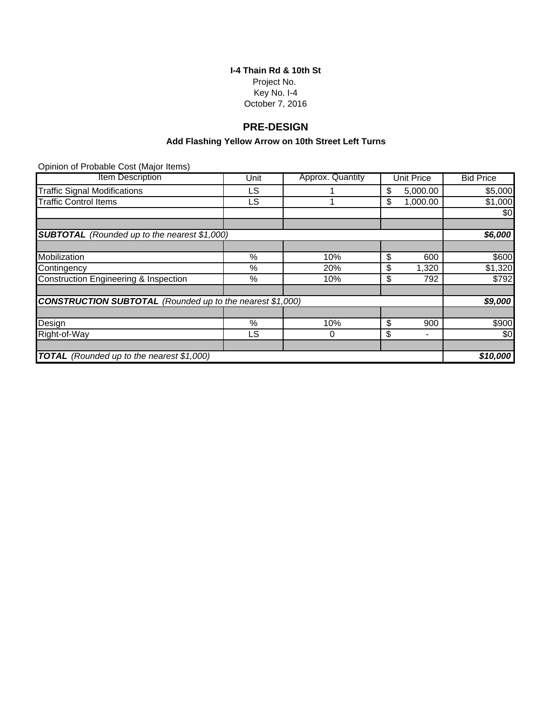**I-4 Thain Rd & 10th St** Project No. Key No. I-4 October 7, 2016

# **PRE-DESIGN**

## **Add Flashing Yellow Arrow on 10th Street Left Turns**

| <b>Item Description</b>                                          | Unit | Approx. Quantity | <b>Unit Price</b> | <b>Bid Price</b> |
|------------------------------------------------------------------|------|------------------|-------------------|------------------|
| <b>Traffic Signal Modifications</b>                              | LS.  |                  | \$<br>5,000.00    | \$5,000          |
| <b>Traffic Control Items</b>                                     | LS.  |                  | \$<br>1,000.00    | \$1,000          |
|                                                                  |      |                  |                   | \$0              |
|                                                                  |      |                  |                   |                  |
| <b>SUBTOTAL</b> (Rounded up to the nearest \$1,000)              |      |                  |                   | \$6,000          |
|                                                                  |      |                  |                   |                  |
| Mobilization                                                     | %    | 10%              | \$<br>600         | \$600            |
| Contingency                                                      | ℅    | 20%              | \$<br>1,320       | \$1,320          |
| <b>Construction Engineering &amp; Inspection</b>                 | %    | 10%              | \$<br>792         | \$792            |
|                                                                  |      |                  |                   |                  |
| <b>CONSTRUCTION SUBTOTAL</b> (Rounded up to the nearest \$1,000) |      |                  |                   | \$9,000          |
|                                                                  |      |                  |                   |                  |
| Design                                                           | %    | 10%              | \$<br>900         | \$900            |
| Right-of-Way                                                     | LS.  | $\Omega$         | \$                | \$0              |
|                                                                  |      |                  |                   |                  |
| <b>TOTAL</b> (Rounded up to the nearest \$1,000)                 |      |                  |                   | \$10,000         |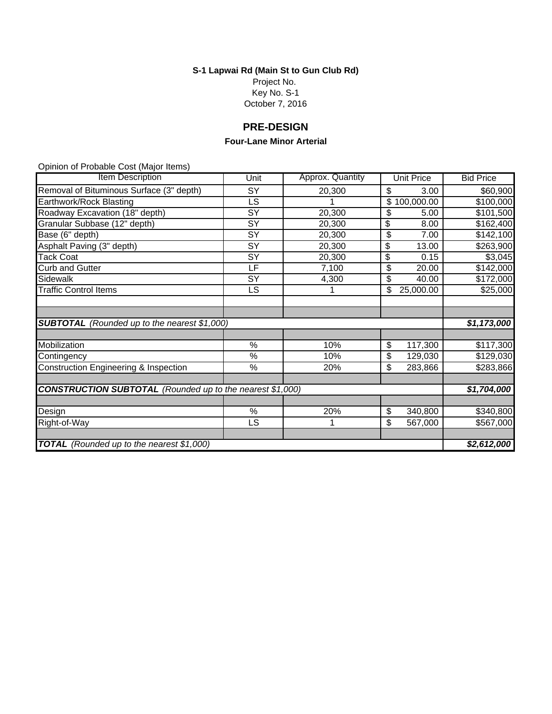**S-1 Lapwai Rd (Main St to Gun Club Rd)**

Project No. Key No. S-1 October 7, 2016

# **PRE-DESIGN**

#### **Four-Lane Minor Arterial**

| Item Description                                                 | Unit            | Approx. Quantity | <b>Unit Price</b> | <b>Bid Price</b> |
|------------------------------------------------------------------|-----------------|------------------|-------------------|------------------|
| Removal of Bituminous Surface (3" depth)                         | SY              | 20,300           | \$<br>3.00        | \$60,900         |
| Earthwork/Rock Blasting                                          | LS              |                  | 100,000.00<br>\$  | \$100,000        |
| Roadway Excavation (18" depth)                                   | SY              | 20,300           | \$<br>5.00        | \$101,500        |
| Granular Subbase (12" depth)                                     | SY              | 20,300           | \$<br>8.00        | \$162,400        |
| Base (6" depth)                                                  | SY              | 20,300           | \$<br>7.00        | \$142,100        |
| Asphalt Paving (3" depth)                                        | SY              | 20,300           | \$<br>13.00       | \$263,900        |
| <b>Tack Coat</b>                                                 | $\overline{SY}$ | 20,300           | \$<br>0.15        | \$3,045          |
| <b>Curb and Gutter</b>                                           | LF              | 7,100            | \$<br>20.00       | \$142,000        |
| Sidewalk                                                         | SY              | 4,300            | \$<br>40.00       | \$172,000        |
| <b>Traffic Control Items</b>                                     | LS              |                  | 25,000.00<br>\$   | \$25,000         |
|                                                                  |                 |                  |                   |                  |
|                                                                  |                 |                  |                   |                  |
| <b>SUBTOTAL</b> (Rounded up to the nearest \$1,000)              |                 |                  |                   | \$1,173,000      |
|                                                                  |                 |                  |                   |                  |
| Mobilization                                                     | %               | 10%              | \$<br>117,300     | \$117,300        |
| Contingency                                                      | $\%$            | 10%              | \$<br>129,030     | \$129,030        |
| <b>Construction Engineering &amp; Inspection</b>                 | %               | 20%              | \$<br>283,866     | \$283,866        |
|                                                                  |                 |                  |                   |                  |
| <b>CONSTRUCTION SUBTOTAL</b> (Rounded up to the nearest \$1,000) |                 |                  |                   | \$1,704,000      |
|                                                                  |                 |                  |                   |                  |
| Design                                                           | %               | 20%              | 340,800<br>\$     | \$340,800        |
| Right-of-Way                                                     | LS              | 1                | \$<br>567,000     | \$567,000        |
|                                                                  |                 |                  |                   |                  |
| <b>TOTAL</b> (Rounded up to the nearest \$1,000)                 |                 |                  |                   | \$2,612,000      |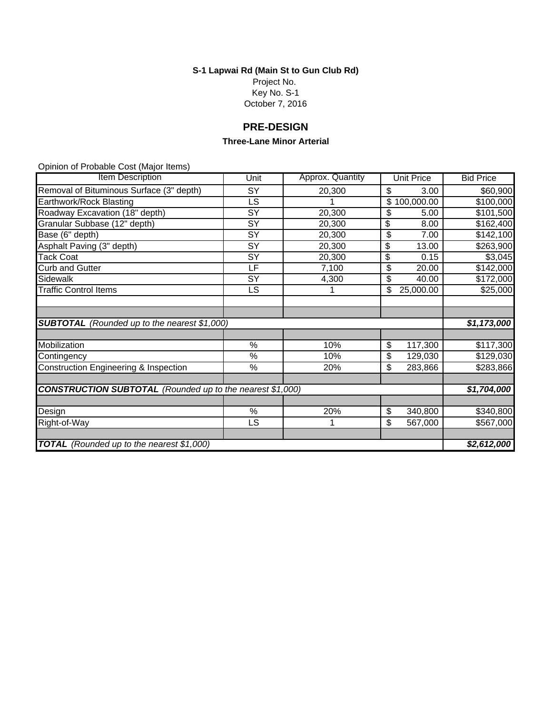**S-1 Lapwai Rd (Main St to Gun Club Rd)** Project No.

Key No. S-1

October 7, 2016

# **PRE-DESIGN**

#### **Three-Lane Minor Arterial**

| Item Description                                                 | Unit            | Approx. Quantity | <b>Unit Price</b> | <b>Bid Price</b> |
|------------------------------------------------------------------|-----------------|------------------|-------------------|------------------|
| Removal of Bituminous Surface (3" depth)                         | SY              | 20,300           | \$<br>3.00        | \$60,900         |
| Earthwork/Rock Blasting                                          | LS              |                  | 100,000.00<br>\$  | \$100,000        |
| Roadway Excavation (18" depth)                                   | SY              | 20,300           | \$<br>5.00        | \$101,500        |
| Granular Subbase (12" depth)                                     | SY              | 20,300           | \$<br>8.00        | \$162,400        |
| Base (6" depth)                                                  | SY              | 20,300           | \$<br>7.00        | \$142,100        |
| Asphalt Paving (3" depth)                                        | SY              | 20,300           | \$<br>13.00       | \$263,900        |
| <b>Tack Coat</b>                                                 | $\overline{SY}$ | 20,300           | \$<br>0.15        | \$3,045          |
| <b>Curb and Gutter</b>                                           | LF              | 7,100            | \$<br>20.00       | \$142,000        |
| Sidewalk                                                         | SY              | 4,300            | \$<br>40.00       | \$172,000        |
| <b>Traffic Control Items</b>                                     | LS              |                  | 25,000.00<br>\$   | \$25,000         |
|                                                                  |                 |                  |                   |                  |
|                                                                  |                 |                  |                   |                  |
| <b>SUBTOTAL</b> (Rounded up to the nearest \$1,000)              |                 |                  |                   | \$1,173,000      |
|                                                                  |                 |                  |                   |                  |
| Mobilization                                                     | %               | 10%              | \$<br>117,300     | \$117,300        |
| Contingency                                                      | $\%$            | 10%              | \$<br>129,030     | \$129,030        |
| <b>Construction Engineering &amp; Inspection</b>                 | %               | 20%              | \$<br>283,866     | \$283,866        |
|                                                                  |                 |                  |                   |                  |
| <b>CONSTRUCTION SUBTOTAL</b> (Rounded up to the nearest \$1,000) |                 |                  |                   | \$1,704,000      |
|                                                                  |                 |                  |                   |                  |
| Design                                                           | %               | 20%              | 340,800<br>\$     | \$340,800        |
| Right-of-Way                                                     | LS              | 1                | \$<br>567,000     | \$567,000        |
|                                                                  |                 |                  |                   |                  |
| <b>TOTAL</b> (Rounded up to the nearest \$1,000)                 |                 |                  |                   | \$2,612,000      |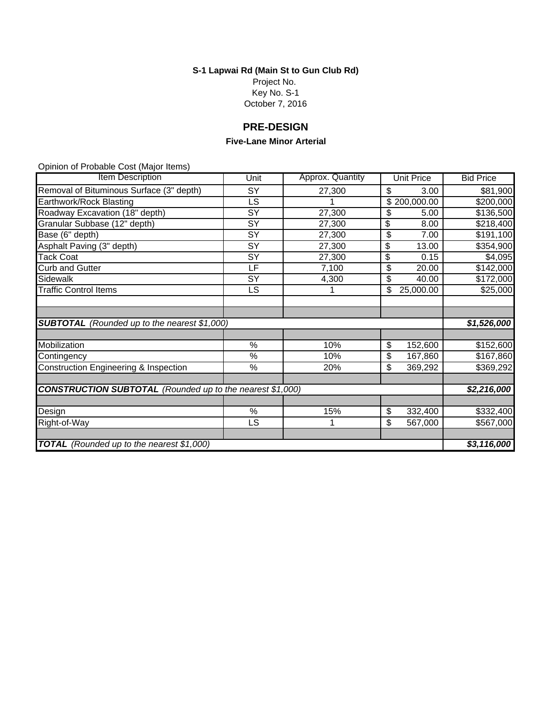# **S-1 Lapwai Rd (Main St to Gun Club Rd)**

Project No. Key No. S-1 October 7, 2016

# **PRE-DESIGN**

#### **Five-Lane Minor Arterial**

| Item Description                                                 | Unit            | Approx. Quantity | <b>Unit Price</b> | <b>Bid Price</b> |
|------------------------------------------------------------------|-----------------|------------------|-------------------|------------------|
| Removal of Bituminous Surface (3" depth)                         | SY              | 27,300           | \$<br>3.00        | \$81,900         |
| Earthwork/Rock Blasting                                          | LS              |                  | \$200,000.00      | \$200,000        |
| Roadway Excavation (18" depth)                                   | SY              | 27,300           | \$<br>5.00        | \$136,500        |
| Granular Subbase (12" depth)                                     | SY              | 27,300           | \$<br>8.00        | \$218,400        |
| Base (6" depth)                                                  | $\overline{SY}$ | 27,300           | \$<br>7.00        | \$191,100        |
| Asphalt Paving (3" depth)                                        | SY              | 27,300           | \$<br>13.00       | \$354,900        |
| <b>Tack Coat</b>                                                 | SY              | 27,300           | \$<br>0.15        | \$4,095          |
| <b>Curb and Gutter</b>                                           | LF              | 7,100            | 20.00<br>\$       | \$142,000        |
| Sidewalk                                                         | SY              | 4,300            | \$<br>40.00       | \$172,000        |
| <b>Traffic Control Items</b>                                     | LS              |                  | 25,000.00<br>\$   | \$25,000         |
|                                                                  |                 |                  |                   |                  |
|                                                                  |                 |                  |                   |                  |
| <b>SUBTOTAL</b> (Rounded up to the nearest \$1,000)              |                 |                  |                   | \$1,526,000      |
|                                                                  |                 |                  |                   |                  |
| Mobilization                                                     | %               | 10%              | \$<br>152,600     | \$152,600        |
| Contingency                                                      | %               | 10%              | \$<br>167,860     | \$167,860        |
| <b>Construction Engineering &amp; Inspection</b>                 | %               | 20%              | \$<br>369,292     | \$369,292        |
|                                                                  |                 |                  |                   |                  |
| <b>CONSTRUCTION SUBTOTAL</b> (Rounded up to the nearest \$1,000) |                 |                  |                   | \$2,216,000      |
|                                                                  |                 |                  |                   |                  |
| Design                                                           | $\%$            | 15%              | 332,400<br>\$     | \$332,400        |
| Right-of-Way                                                     | LS              | 1                | \$<br>567,000     | \$567,000        |
|                                                                  |                 |                  |                   |                  |
| <b>TOTAL</b> (Rounded up to the nearest \$1,000)                 |                 |                  |                   | \$3,116,000      |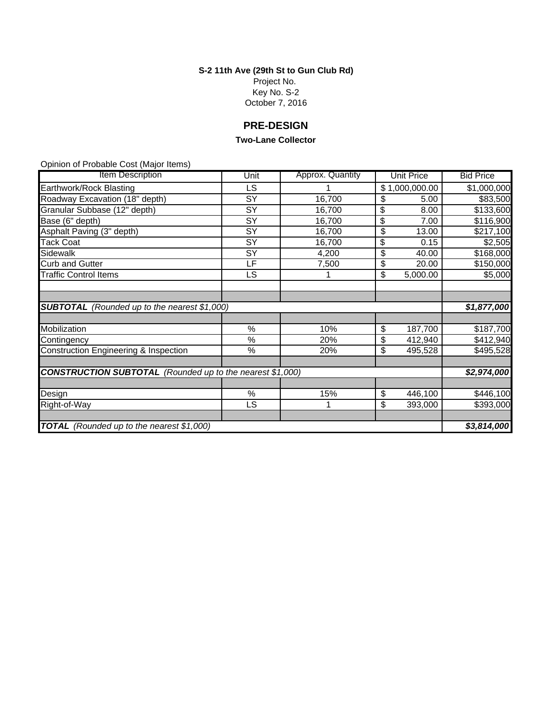**S-2 11th Ave (29th St to Gun Club Rd)**

Project No. Key No. S-2 October 7, 2016

# **PRE-DESIGN**

#### **Two-Lane Collector**

| <b>Item Description</b>                                          | Unit            | Approx. Quantity | <b>Unit Price</b> | <b>Bid Price</b> |
|------------------------------------------------------------------|-----------------|------------------|-------------------|------------------|
| Earthwork/Rock Blasting                                          | <b>LS</b>       |                  | \$1,000,000.00    | \$1,000,000      |
| Roadway Excavation (18" depth)                                   | SY              | 16,700           | \$<br>5.00        | \$83,500         |
| Granular Subbase (12" depth)                                     | SY              | 16,700           | \$<br>8.00        | \$133,600        |
| Base (6" depth)                                                  | SY              | 16,700           | \$<br>7.00        | \$116,900        |
| Asphalt Paving (3" depth)                                        | SY              | 16,700           | \$<br>13.00       | \$217,100        |
| <b>Tack Coat</b>                                                 | $\overline{SY}$ | 16,700           | \$<br>0.15        | \$2,505          |
| Sidewalk                                                         | $\overline{SY}$ | 4,200            | \$<br>40.00       | \$168,000        |
| <b>Curb and Gutter</b>                                           | LF              | 7,500            | \$<br>20.00       | \$150,000        |
| <b>Traffic Control Items</b>                                     | <b>LS</b>       |                  | \$<br>5,000.00    | \$5,000          |
|                                                                  |                 |                  |                   |                  |
|                                                                  |                 |                  |                   |                  |
| <b>SUBTOTAL</b> (Rounded up to the nearest \$1,000)              |                 |                  |                   | \$1,877,000      |
|                                                                  |                 |                  |                   |                  |
| Mobilization                                                     | %               | 10%              | \$<br>187,700     | \$187,700        |
| Contingency                                                      | %               | 20%              | \$<br>412,940     | \$412,940        |
| Construction Engineering & Inspection                            | $\%$            | 20%              | \$<br>495,528     | \$495,528        |
|                                                                  |                 |                  |                   |                  |
| <b>CONSTRUCTION SUBTOTAL</b> (Rounded up to the nearest \$1,000) |                 |                  |                   | \$2,974,000      |
|                                                                  |                 |                  |                   |                  |
| Design                                                           | %               | 15%              | \$<br>446,100     | \$446,100        |
| Right-of-Way                                                     | LS              | 1                | \$<br>393,000     | \$393,000        |
|                                                                  |                 |                  |                   |                  |
| <b>TOTAL</b> (Rounded up to the nearest \$1,000)                 |                 |                  |                   | \$3,814,000      |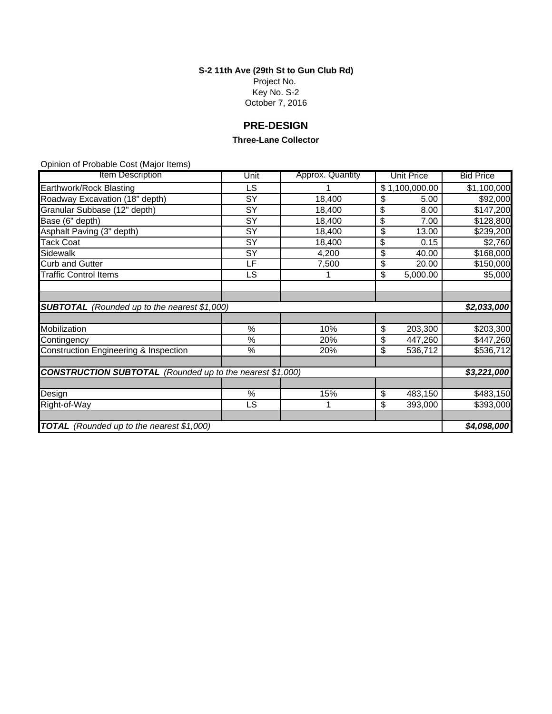**S-2 11th Ave (29th St to Gun Club Rd)**

Project No. Key No. S-2 October 7, 2016

# **PRE-DESIGN**

#### **Three-Lane Collector**

| <b>Item Description</b>                                          | Unit            | Approx. Quantity | <b>Unit Price</b> | <b>Bid Price</b> |
|------------------------------------------------------------------|-----------------|------------------|-------------------|------------------|
| Earthwork/Rock Blasting                                          | <b>LS</b>       |                  | \$1,100,000.00    | \$1,100,000      |
| Roadway Excavation (18" depth)                                   | SY              | 18,400           | \$<br>5.00        | \$92,000         |
| Granular Subbase (12" depth)                                     | SY              | 18,400           | \$<br>8.00        | \$147,200        |
| Base (6" depth)                                                  | SY              | 18,400           | \$<br>7.00        | \$128,800        |
| Asphalt Paving (3" depth)                                        | SY              | 18,400           | \$<br>13.00       | \$239,200        |
| <b>Tack Coat</b>                                                 | $\overline{SY}$ | 18,400           | \$<br>0.15        | \$2,760          |
| Sidewalk                                                         | $\overline{SY}$ | 4,200            | \$<br>40.00       | \$168,000        |
| <b>Curb and Gutter</b>                                           | LF              | 7,500            | \$<br>20.00       | \$150,000        |
| <b>Traffic Control Items</b>                                     | <b>LS</b>       |                  | \$<br>5,000.00    | \$5,000          |
|                                                                  |                 |                  |                   |                  |
|                                                                  |                 |                  |                   |                  |
| <b>SUBTOTAL</b> (Rounded up to the nearest \$1,000)              |                 |                  |                   | \$2,033,000      |
|                                                                  |                 |                  |                   |                  |
| Mobilization                                                     | %               | 10%              | \$<br>203,300     | \$203,300        |
| Contingency                                                      | %               | 20%              | \$<br>447,260     | \$447,260        |
| Construction Engineering & Inspection                            | $\%$            | 20%              | \$<br>536,712     | \$536,712        |
|                                                                  |                 |                  |                   |                  |
| <b>CONSTRUCTION SUBTOTAL</b> (Rounded up to the nearest \$1,000) |                 |                  |                   | \$3,221,000      |
|                                                                  |                 |                  |                   |                  |
| Design                                                           | %               | 15%              | \$<br>483,150     | \$483,150        |
| Right-of-Way                                                     | LS              | 1                | \$<br>393,000     | \$393,000        |
|                                                                  |                 |                  |                   |                  |
| <b>TOTAL</b> (Rounded up to the nearest \$1,000)                 |                 |                  |                   |                  |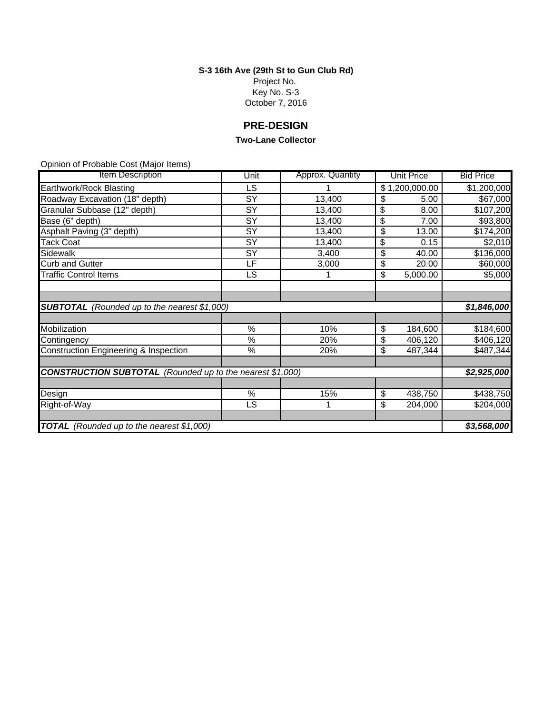**S-3 16th Ave (29th St to Gun Club Rd)**

Project No. Key No. S-3 October 7, 2016

# **PRE-DESIGN**

#### **Two-Lane Collector**

| Item Description                                                 | Unit            | Approx. Quantity | <b>Unit Price</b> | <b>Bid Price</b> |  |  |
|------------------------------------------------------------------|-----------------|------------------|-------------------|------------------|--|--|
| Earthwork/Rock Blasting                                          | LS              |                  | \$1,200,000.00    | \$1,200,000      |  |  |
| Roadway Excavation (18" depth)                                   | SY              | 13,400           | \$<br>5.00        | \$67,000         |  |  |
| Granular Subbase (12" depth)                                     | SY              | 13,400           | \$<br>8.00        | \$107,200        |  |  |
| Base (6" depth)                                                  | SY              | 13,400           | \$<br>7.00        | \$93,800         |  |  |
| Asphalt Paving (3" depth)                                        | SY              | 13,400           | \$<br>13.00       | \$174,200        |  |  |
| <b>Tack Coat</b>                                                 | $\overline{SY}$ | 13,400           | \$<br>0.15        | \$2,010          |  |  |
| Sidewalk                                                         | SY              | 3,400            | \$<br>40.00       | \$136,000        |  |  |
| <b>Curb and Gutter</b>                                           | LF              | 3,000            | \$<br>20.00       | \$60,000         |  |  |
| <b>Traffic Control Items</b>                                     | LS              |                  | \$<br>5,000.00    | \$5,000          |  |  |
|                                                                  |                 |                  |                   |                  |  |  |
|                                                                  |                 |                  |                   |                  |  |  |
| <b>SUBTOTAL</b> (Rounded up to the nearest \$1,000)              |                 |                  |                   | \$1,846,000      |  |  |
|                                                                  |                 |                  |                   |                  |  |  |
| Mobilization                                                     | %               | 10%              | \$<br>184,600     | \$184,600        |  |  |
| Contingency                                                      | %               | 20%              | \$<br>406,120     | \$406,120        |  |  |
| Construction Engineering & Inspection                            | $\%$            | 20%              | \$<br>487,344     | \$487,344        |  |  |
|                                                                  |                 |                  |                   |                  |  |  |
| <b>CONSTRUCTION SUBTOTAL</b> (Rounded up to the nearest \$1,000) |                 |                  |                   | \$2,925,000      |  |  |
|                                                                  |                 |                  |                   |                  |  |  |
| Design                                                           | %               | 15%              | \$<br>438,750     | \$438,750        |  |  |
| Right-of-Way                                                     | LS.             | 1                | \$<br>204,000     | \$204,000        |  |  |
|                                                                  |                 |                  |                   |                  |  |  |
| <b>TOTAL</b> (Rounded up to the nearest \$1,000)                 |                 |                  |                   |                  |  |  |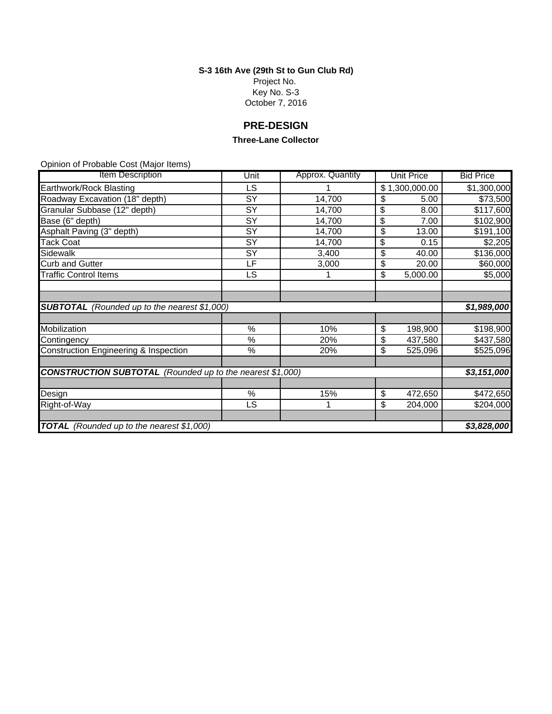**S-3 16th Ave (29th St to Gun Club Rd)**

Project No. Key No. S-3 October 7, 2016

# **PRE-DESIGN**

#### **Three-Lane Collector**

| Item Description                                                 | Unit            | Approx. Quantity | <b>Unit Price</b> | <b>Bid Price</b> |  |  |
|------------------------------------------------------------------|-----------------|------------------|-------------------|------------------|--|--|
| Earthwork/Rock Blasting                                          | LS              |                  | \$1,300,000.00    | \$1,300,000      |  |  |
| Roadway Excavation (18" depth)                                   | SY              | 14,700           | \$<br>5.00        | \$73,500         |  |  |
| Granular Subbase (12" depth)                                     | SY              | 14,700           | \$<br>8.00        | \$117,600        |  |  |
| Base (6" depth)                                                  | SY              | 14,700           | \$<br>7.00        | \$102,900        |  |  |
| Asphalt Paving (3" depth)                                        | SY              | 14,700           | \$<br>13.00       | \$191,100        |  |  |
| <b>Tack Coat</b>                                                 | $\overline{SY}$ | 14,700           | \$<br>0.15        | \$2,205          |  |  |
| Sidewalk                                                         | SY              | 3,400            | \$<br>40.00       | \$136,000        |  |  |
| <b>Curb and Gutter</b>                                           | LF              | 3,000            | \$<br>20.00       | \$60,000         |  |  |
| <b>Traffic Control Items</b>                                     | LS              |                  | \$<br>5,000.00    | \$5,000          |  |  |
|                                                                  |                 |                  |                   |                  |  |  |
|                                                                  |                 |                  |                   |                  |  |  |
| <b>SUBTOTAL</b> (Rounded up to the nearest \$1,000)              |                 |                  |                   | \$1,989,000      |  |  |
|                                                                  |                 |                  |                   |                  |  |  |
| Mobilization                                                     | %               | 10%              | \$<br>198,900     | \$198,900        |  |  |
| Contingency                                                      | %               | 20%              | \$<br>437,580     | \$437,580        |  |  |
| Construction Engineering & Inspection                            | $\%$            | 20%              | \$<br>525,096     | \$525,096        |  |  |
|                                                                  |                 |                  |                   |                  |  |  |
| <b>CONSTRUCTION SUBTOTAL</b> (Rounded up to the nearest \$1,000) |                 |                  |                   |                  |  |  |
|                                                                  |                 |                  |                   |                  |  |  |
| Design                                                           | %               | 15%              | \$<br>472,650     | \$472,650        |  |  |
| Right-of-Way                                                     | LS.             | 1                | \$<br>204,000     | \$204,000        |  |  |
|                                                                  |                 |                  |                   |                  |  |  |
| <b>TOTAL</b> (Rounded up to the nearest \$1,000)                 |                 |                  |                   |                  |  |  |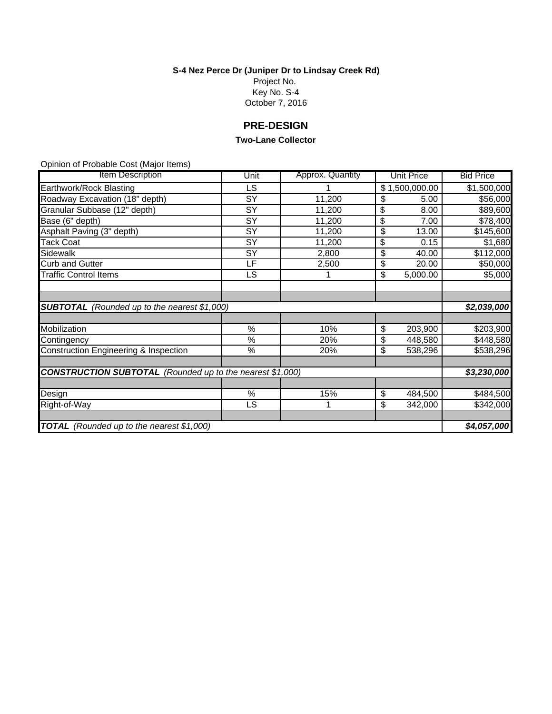**S-4 Nez Perce Dr (Juniper Dr to Lindsay Creek Rd)**

Project No. Key No. S-4 October 7, 2016

# **PRE-DESIGN**

#### **Two-Lane Collector**

| Item Description                                                 | Unit                   | Approx. Quantity | <b>Unit Price</b>        | <b>Bid Price</b> |  |
|------------------------------------------------------------------|------------------------|------------------|--------------------------|------------------|--|
| Earthwork/Rock Blasting                                          | LS                     |                  | \$1,500,000.00           | \$1,500,000      |  |
| Roadway Excavation (18" depth)                                   | SY                     | 11,200           | \$<br>5.00               | \$56,000         |  |
| Granular Subbase (12" depth)                                     | SY                     | 11,200           | \$<br>8.00               | \$89,600         |  |
| Base (6" depth)                                                  | SY                     | 11,200           | \$<br>7.00               | \$78,400         |  |
| Asphalt Paving (3" depth)                                        | SY                     | 11,200           | \$<br>13.00              | \$145,600        |  |
| <b>Tack Coat</b>                                                 | $\overline{\text{SY}}$ | 11,200           | \$<br>0.15               | \$1,680          |  |
| Sidewalk                                                         | SY                     | 2,800            | \$<br>$\overline{40.00}$ | \$112,000        |  |
| <b>Curb and Gutter</b>                                           | LF                     | 2,500            | \$<br>20.00              | \$50,000         |  |
| <b>Traffic Control Items</b>                                     | LS                     |                  | \$<br>5,000.00           | \$5,000          |  |
|                                                                  |                        |                  |                          |                  |  |
|                                                                  |                        |                  |                          |                  |  |
| <b>SUBTOTAL</b> (Rounded up to the nearest \$1,000)              |                        |                  |                          | \$2,039,000      |  |
|                                                                  |                        |                  |                          |                  |  |
| Mobilization                                                     | %                      | 10%              | \$<br>203,900            | \$203,900        |  |
| Contingency                                                      | $\%$                   | 20%              | \$<br>448,580            | \$448,580        |  |
| Construction Engineering & Inspection                            | $\%$                   | 20%              | \$<br>538,296            | \$538,296        |  |
|                                                                  |                        |                  |                          |                  |  |
| <b>CONSTRUCTION SUBTOTAL</b> (Rounded up to the nearest \$1,000) |                        |                  |                          |                  |  |
|                                                                  |                        |                  |                          |                  |  |
| Design                                                           | %                      | 15%              | \$<br>484,500            | \$484,500        |  |
| Right-of-Way                                                     | <b>LS</b>              |                  | \$<br>342,000            | \$342,000        |  |
|                                                                  |                        |                  |                          |                  |  |
| <b>TOTAL</b> (Rounded up to the nearest \$1,000)                 |                        |                  |                          |                  |  |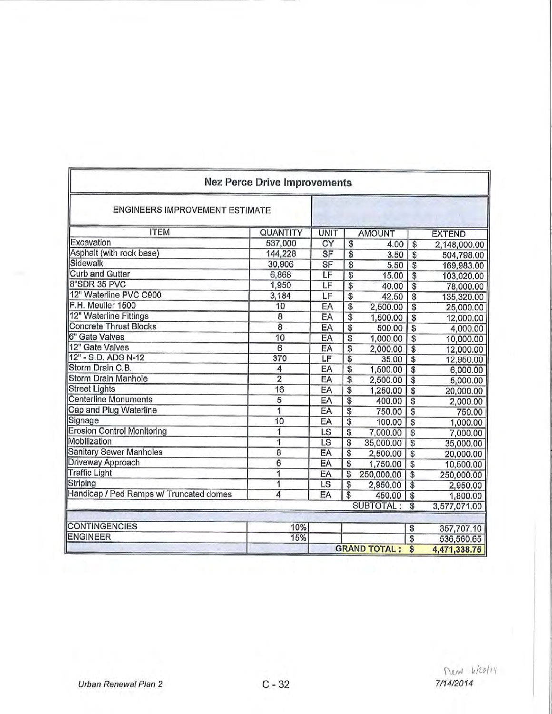|                                         | <b>Nez Perce Drive Improvements</b> |             |                 |                     |                 |               |
|-----------------------------------------|-------------------------------------|-------------|-----------------|---------------------|-----------------|---------------|
| ENGINEERS IMPROVEMENT ESTIMATE          |                                     |             |                 |                     |                 |               |
| <b>ITEM</b>                             | QUANTITY                            | <b>UNIT</b> |                 | <b>AMOUNT</b>       |                 | <b>EXTEND</b> |
| Excavation                              | 537,000                             | CY          | \$              | 4.00                | \$              | 2,148,000.00  |
| Asphalt (with rock base)                | 144,228                             | SF          | \$              | 3.50                | $\overline{\$}$ | 504,798.00    |
| Sidewalk                                | 30,906                              | SF          | \$              | 5.50                | \$              | 169,983.00    |
| <b>Curb and Gutter</b>                  | 6,868                               | LF          | \$              | 15.00               | S               | 103,020.00    |
| 8"SDR 35 PVC                            | 1,950                               | LF          | $\overline{\$}$ | 40.00               | \$              | 78,000.00     |
| 12" Waterline PVC C900                  | 3,184                               | LF          | \$              | 42.50               | $\overline{\$}$ | 135,320.00    |
| F.H. Meuller 1500                       | 10                                  | EA          | \$              | 2,500.00            | $\overline{\$}$ | 25,000.00     |
| 12" Waterline Fittings                  | 8                                   | EA          | \$              | 1,500.00            | $\overline{\$}$ | 12,000.00     |
| Concrete Thrust Blocks                  | $\overline{8}$                      | EA          | \$              | 500.00              | \$              | 4,000.00      |
| 6" Gate Valves                          | 10                                  | EA          | \$              | 1,000.00            | \$              | 10,000.00     |
| 12" Gate Valves                         | 6                                   | EA          | \$              | 2,000.00            | \$              | 12,000.00     |
| 12" - S.D. ADS N-12                     | 370                                 | LF          | \$              | 35.00               | \$              | 12,950.00     |
| Storm Drain C.B.                        | 4                                   | EA          | \$              | 1,500.00            | \$              | 6,000.00      |
| Storm Drain Manhole                     | $\overline{2}$                      | EA          | \$              | 2,500.00            | S               | 5,000.00      |
| <b>Street Lights</b>                    | 16                                  | EA          | \$              | 1,250.00            | \$              | 20,000.00     |
| <b>Centerline Monuments</b>             | 5                                   | EA          | \$              | 400.00              | $\overline{\$}$ | 2,000.00      |
| Cap and Plug Waterline                  | $\overline{1}$                      | EA          | \$              | 750.00              | \$              | 750.00        |
| Signage                                 | 10                                  | EA          | \$              | 100.00              | \$              | 1,000.00      |
| <b>Erosion Control Monitoring</b>       | $\overline{1}$                      | LS          | \$              | 7,000.00            | \$              | 7,000.00      |
| Mobilization                            | 1                                   | LS          | \$              | 35,000.00           | $\overline{\$}$ | 35,000.00     |
| <b>Sanitary Sewer Manholes</b>          | 8                                   | EA          | \$              | 2,500.00            | $\overline{\$}$ | 20,000.00     |
| Driveway Approach                       | $\overline{6}$                      | EA          | \$              | 1,750.00            | \$              | 10,500.00     |
| <b>Traffic Light</b>                    | 1                                   | EA          | \$              | 250,000.00          | \$              | 250,000.00    |
| Striping                                | 1                                   | LS          | \$              | 2,950.00            | \$              | 2,950.00      |
| Handicap / Ped Ramps w/ Truncated domes | 4                                   | EA          | $\overline{\$}$ | 450.00              | $\overline{\$}$ | 1,800.00      |
|                                         |                                     |             |                 | SUBTOTAL:           | \$              | 3,577,071.00  |
| <b>CONTINGENCIES</b>                    | 10%                                 |             |                 |                     | \$              | 357,707.10    |
| <b>ENGINEER</b>                         | 15%                                 |             |                 |                     | $\overline{\$}$ | 536,560.65    |
|                                         |                                     |             |                 | <b>GRAND TOTAL:</b> | \$              | 4,471,338.75  |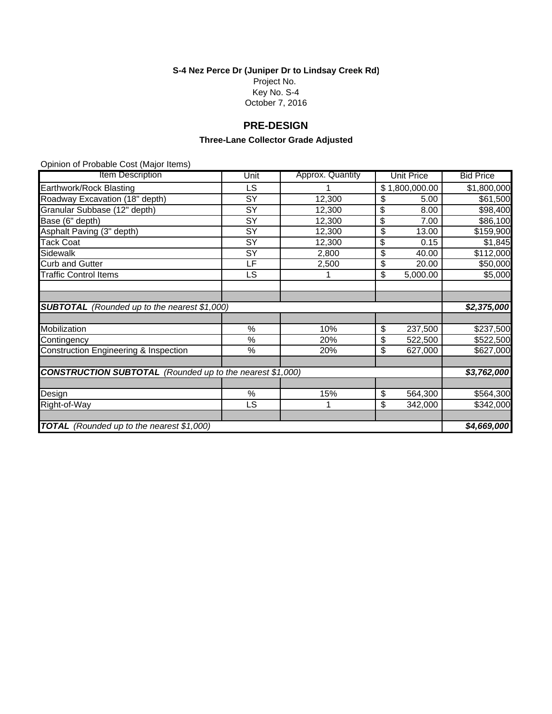**S-4 Nez Perce Dr (Juniper Dr to Lindsay Creek Rd)**

Project No. Key No. S-4 October 7, 2016

# **PRE-DESIGN**

## **Three-Lane Collector Grade Adjusted**

| Item Description                                    | Unit                                                             | Approx. Quantity | <b>Unit Price</b>           | <b>Bid Price</b> |  |  |
|-----------------------------------------------------|------------------------------------------------------------------|------------------|-----------------------------|------------------|--|--|
| Earthwork/Rock Blasting                             | LS                                                               |                  | \$1,800,000.00              | \$1,800,000      |  |  |
| Roadway Excavation (18" depth)                      | SY                                                               | 12,300           | \$<br>5.00                  | \$61,500         |  |  |
| Granular Subbase (12" depth)                        | SY                                                               | 12,300           | \$<br>8.00                  | \$98,400         |  |  |
| Base (6" depth)                                     | SY                                                               | 12,300           | \$<br>7.00                  | \$86,100         |  |  |
| Asphalt Paving (3" depth)                           | SY                                                               | 12,300           | \$<br>13.00                 | \$159,900        |  |  |
| <b>Tack Coat</b>                                    | $\overline{SY}$                                                  | 12,300           | \$<br>0.15                  | \$1,845          |  |  |
| Sidewalk                                            | SY                                                               | 2,800            | \$<br>40.00                 | \$112,000        |  |  |
| <b>Curb and Gutter</b>                              | LF                                                               | 2,500            | \$<br>20.00                 | \$50,000         |  |  |
| <b>Traffic Control Items</b>                        | LS                                                               |                  | $\overline{5,000.00}$<br>\$ | \$5,000          |  |  |
|                                                     |                                                                  |                  |                             |                  |  |  |
|                                                     |                                                                  |                  |                             |                  |  |  |
| <b>SUBTOTAL</b> (Rounded up to the nearest \$1,000) |                                                                  |                  |                             | \$2,375,000      |  |  |
|                                                     |                                                                  |                  |                             |                  |  |  |
| Mobilization                                        | %                                                                | 10%              | \$<br>237,500               | \$237,500        |  |  |
| Contingency                                         | %                                                                | 20%              | \$<br>522,500               | \$522,500        |  |  |
| Construction Engineering & Inspection               | $\%$                                                             | 20%              | \$<br>627,000               | \$627,000        |  |  |
|                                                     |                                                                  |                  |                             |                  |  |  |
|                                                     | <b>CONSTRUCTION SUBTOTAL</b> (Rounded up to the nearest \$1,000) |                  |                             |                  |  |  |
|                                                     |                                                                  |                  |                             |                  |  |  |
| Design                                              | $\%$                                                             | 15%              | \$<br>564,300               | \$564,300        |  |  |
| Right-of-Way                                        | LS                                                               |                  | \$<br>342,000               | \$342,000        |  |  |
|                                                     |                                                                  |                  |                             |                  |  |  |
| <b>TOTAL</b> (Rounded up to the nearest \$1,000)    |                                                                  |                  |                             | \$4,669,000      |  |  |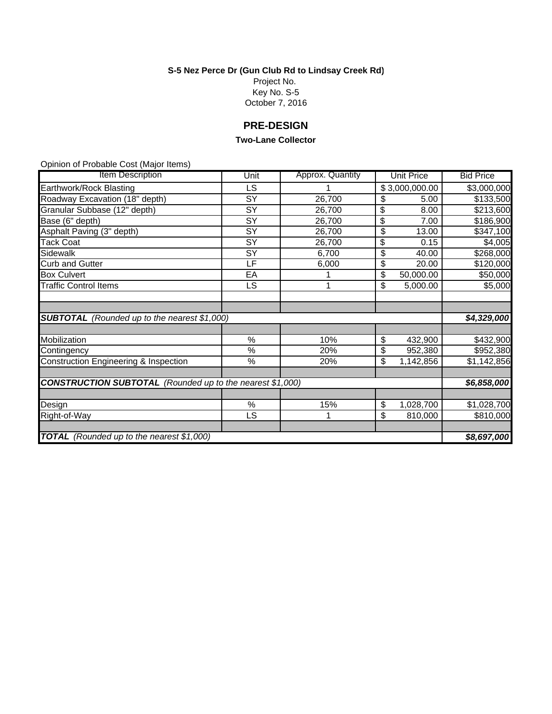**S-5 Nez Perce Dr (Gun Club Rd to Lindsay Creek Rd)**

Project No. Key No. S-5 October 7, 2016

# **PRE-DESIGN**

#### **Two-Lane Collector**

| <b>Item Description</b>                                          | Unit            | Approx. Quantity | <b>Unit Price</b> | <b>Bid Price</b> |
|------------------------------------------------------------------|-----------------|------------------|-------------------|------------------|
| Earthwork/Rock Blasting                                          | LS              |                  | \$3,000,000.00    | \$3,000,000      |
| Roadway Excavation (18" depth)                                   | $\overline{SY}$ | 26,700           | S<br>5.00         | \$133,500        |
| Granular Subbase (12" depth)                                     | SY              | 26,700           | \$<br>8.00        | \$213,600        |
| Base (6" depth)                                                  | $\overline{SY}$ | 26,700           | \$<br>7.00        | \$186,900        |
| Asphalt Paving (3" depth)                                        | SY              | 26,700           | \$<br>13.00       | \$347,100        |
| Tack Coat                                                        | SY              | 26,700           | \$<br>0.15        | \$4,005          |
| Sidewalk                                                         | $\overline{S}$  | 6,700            | \$<br>40.00       | \$268,000        |
| <b>Curb and Gutter</b>                                           | LF              | 6,000            | \$<br>20.00       | \$120,000        |
| <b>Box Culvert</b>                                               | EA              |                  | \$<br>50,000.00   | \$50,000         |
| <b>Traffic Control Items</b>                                     | LS              | 1                | \$<br>5,000.00    | \$5,000          |
|                                                                  |                 |                  |                   |                  |
|                                                                  |                 |                  |                   |                  |
| <b>SUBTOTAL</b> (Rounded up to the nearest \$1,000)              |                 |                  |                   | \$4,329,000      |
|                                                                  |                 |                  |                   |                  |
| Mobilization                                                     | %               | 10%              | \$<br>432,900     | \$432,900        |
| Contingency                                                      | $\%$            | 20%              | \$<br>952,380     | \$952,380        |
| Construction Engineering & Inspection                            | $\%$            | 20%              | \$<br>1,142,856   | \$1,142,856      |
|                                                                  |                 |                  |                   |                  |
| <b>CONSTRUCTION SUBTOTAL</b> (Rounded up to the nearest \$1,000) |                 |                  |                   | \$6,858,000      |
|                                                                  |                 |                  |                   |                  |
| Design                                                           | $\%$            | 15%              | \$<br>1,028,700   | \$1,028,700      |
| Right-of-Way                                                     | LS              | 1                | \$<br>810,000     | \$810,000        |
|                                                                  |                 |                  |                   |                  |
| <b>TOTAL</b> (Rounded up to the nearest \$1,000)                 |                 |                  |                   | \$8,697,000      |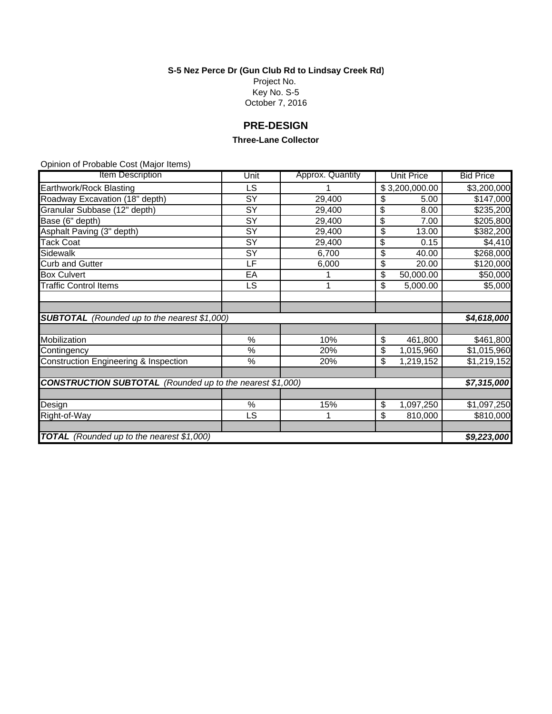**S-5 Nez Perce Dr (Gun Club Rd to Lindsay Creek Rd)**

Project No. Key No. S-5 October 7, 2016

# **PRE-DESIGN**

#### **Three-Lane Collector**

| <b>Item Description</b>                                          | Unit            | Approx. Quantity | <b>Unit Price</b> | <b>Bid Price</b> |
|------------------------------------------------------------------|-----------------|------------------|-------------------|------------------|
| Earthwork/Rock Blasting                                          | LS              |                  | \$3,200,000.00    | \$3,200,000      |
| Roadway Excavation (18" depth)                                   | $\overline{SY}$ | 29,400           | S<br>5.00         | \$147,000        |
| Granular Subbase (12" depth)                                     | SY              | 29,400           | \$<br>8.00        | \$235,200        |
| Base (6" depth)                                                  | $\overline{SY}$ | 29,400           | \$<br>7.00        | \$205,800        |
| Asphalt Paving (3" depth)                                        | SY              | 29,400           | \$<br>13.00       | \$382,200        |
| Tack Coat                                                        | SY              | 29,400           | \$<br>0.15        | \$4,410          |
| Sidewalk                                                         | $\overline{S}$  | 6,700            | \$<br>40.00       | \$268,000        |
| <b>Curb and Gutter</b>                                           | LF              | 6,000            | \$<br>20.00       | \$120,000        |
| <b>Box Culvert</b>                                               | EA              |                  | \$<br>50,000.00   | \$50,000         |
| <b>Traffic Control Items</b>                                     | LS              | 1                | \$<br>5,000.00    | \$5,000          |
|                                                                  |                 |                  |                   |                  |
|                                                                  |                 |                  |                   |                  |
| <b>SUBTOTAL</b> (Rounded up to the nearest \$1,000)              |                 |                  |                   | \$4,618,000      |
|                                                                  |                 |                  |                   |                  |
| Mobilization                                                     | %               | 10%              | \$<br>461,800     | \$461,800        |
| Contingency                                                      | $\%$            | 20%              | \$<br>1,015,960   | \$1,015,960      |
| Construction Engineering & Inspection                            | $\%$            | 20%              | \$<br>1,219,152   | \$1,219,152      |
|                                                                  |                 |                  |                   |                  |
| <b>CONSTRUCTION SUBTOTAL</b> (Rounded up to the nearest \$1,000) |                 |                  |                   | \$7,315,000      |
|                                                                  |                 |                  |                   |                  |
| Design                                                           | $\%$            | 15%              | \$<br>1,097,250   | \$1,097,250      |
| Right-of-Way                                                     | LS              | 1                | \$<br>810,000     | \$810,000        |
|                                                                  |                 |                  |                   |                  |
| <b>TOTAL</b> (Rounded up to the nearest \$1,000)                 |                 |                  |                   | \$9,223,000      |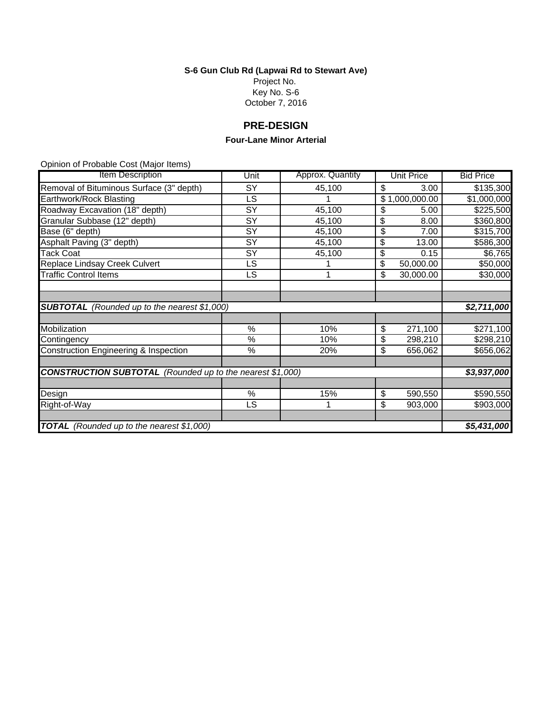**S-6 Gun Club Rd (Lapwai Rd to Stewart Ave)** Project No. Key No. S-6

October 7, 2016

# **PRE-DESIGN**

#### **Four-Lane Minor Arterial**

| <b>Item Description</b>                                          | Unit            | Approx. Quantity | <b>Unit Price</b> | <b>Bid Price</b> |  |
|------------------------------------------------------------------|-----------------|------------------|-------------------|------------------|--|
| Removal of Bituminous Surface (3" depth)                         | SY              | 45,100           | \$<br>3.00        | \$135,300        |  |
| Earthwork/Rock Blasting                                          | LS              |                  | \$1,000,000.00    | \$1,000,000      |  |
| Roadway Excavation (18" depth)                                   | SY              | 45,100           | \$<br>5.00        | \$225,500        |  |
| Granular Subbase (12" depth)                                     | SY              | 45,100           | \$<br>8.00        | \$360,800        |  |
| Base (6" depth)                                                  | SY              | 45,100           | \$<br>7.00        | \$315,700        |  |
| Asphalt Paving (3" depth)                                        | $\overline{SY}$ | 45,100           | \$<br>13.00       | \$586,300        |  |
| Tack Coat                                                        | SY              | 45,100           | \$<br>0.15        | \$6,765          |  |
| Replace Lindsay Creek Culvert                                    | LS              |                  | \$<br>50,000.00   | \$50,000         |  |
| <b>Traffic Control Items</b>                                     | LS              |                  | \$<br>30,000.00   | \$30,000         |  |
|                                                                  |                 |                  |                   |                  |  |
|                                                                  |                 |                  |                   |                  |  |
| <b>SUBTOTAL</b> (Rounded up to the nearest \$1,000)              |                 |                  |                   | \$2,711,000      |  |
|                                                                  |                 |                  |                   |                  |  |
| Mobilization                                                     | %               | 10%              | \$<br>271,100     | \$271,100        |  |
| Contingency                                                      | $\%$            | 10%              | \$<br>298,210     | \$298,210        |  |
| Construction Engineering & Inspection                            | $\%$            | 20%              | \$<br>656,062     | \$656,062        |  |
|                                                                  |                 |                  |                   |                  |  |
| <b>CONSTRUCTION SUBTOTAL</b> (Rounded up to the nearest \$1,000) |                 |                  |                   |                  |  |
|                                                                  |                 |                  |                   |                  |  |
| Design                                                           | %               | 15%              | \$<br>590,550     | \$590,550        |  |
| Right-of-Way                                                     | <b>LS</b>       |                  | \$<br>903,000     | \$903,000        |  |
|                                                                  |                 |                  |                   |                  |  |
| <b>TOTAL</b> (Rounded up to the nearest \$1,000)                 |                 |                  |                   |                  |  |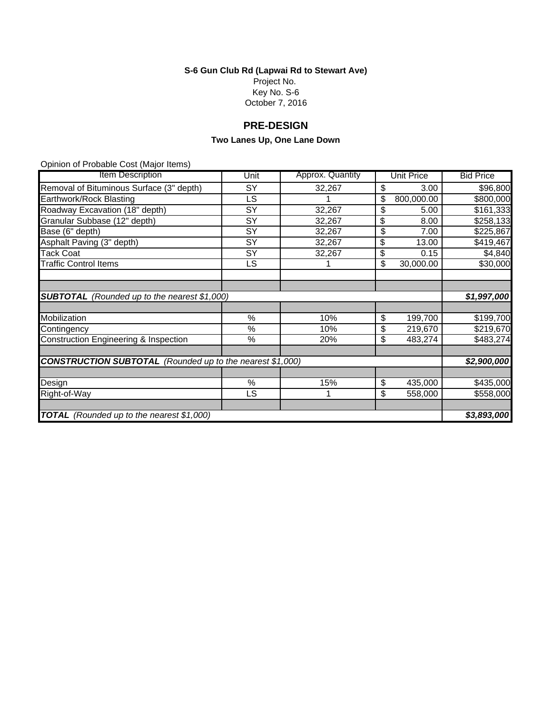**S-6 Gun Club Rd (Lapwai Rd to Stewart Ave)** Project No. Key No. S-6 October 7, 2016

# **PRE-DESIGN**

## **Two Lanes Up, One Lane Down**

| <b>Item Description</b>                                          | Unit | Approx. Quantity | <b>Unit Price</b> | <b>Bid Price</b> |
|------------------------------------------------------------------|------|------------------|-------------------|------------------|
| Removal of Bituminous Surface (3" depth)                         | SY   | 32,267           | \$<br>3.00        | \$96,800         |
| Earthwork/Rock Blasting                                          | LS   |                  | 800,000.00<br>\$  | \$800,000        |
| Roadway Excavation (18" depth)                                   | SY   | 32,267           | \$<br>5.00        | \$161,333        |
| Granular Subbase (12" depth)                                     | SY   | 32,267           | \$<br>8.00        | \$258,133        |
| Base (6" depth)                                                  | SY   | 32,267           | \$<br>7.00        | \$225,867        |
| Asphalt Paving (3" depth)                                        | SY   | 32,267           | \$<br>13.00       | \$419,467        |
| <b>Tack Coat</b>                                                 | SY   | 32,267           | \$<br>0.15        | \$4,840          |
| <b>Traffic Control Items</b>                                     | LS   |                  | \$<br>30,000.00   | \$30,000         |
|                                                                  |      |                  |                   |                  |
|                                                                  |      |                  |                   |                  |
| <b>SUBTOTAL</b> (Rounded up to the nearest \$1,000)              |      |                  |                   | \$1,997,000      |
|                                                                  |      |                  |                   |                  |
| Mobilization                                                     | %    | 10%              | \$<br>199,700     | \$199,700        |
| Contingency                                                      | $\%$ | 10%              | \$<br>219,670     | \$219,670        |
| Construction Engineering & Inspection                            | $\%$ | 20%              | \$<br>483,274     | \$483,274        |
|                                                                  |      |                  |                   |                  |
| <b>CONSTRUCTION SUBTOTAL</b> (Rounded up to the nearest \$1,000) |      |                  |                   | \$2,900,000      |
|                                                                  |      |                  |                   |                  |
| Design                                                           | %    | 15%              | \$<br>435,000     | \$435,000        |
| Right-of-Way                                                     | LS   | 1                | \$<br>558,000     | \$558,000        |
|                                                                  |      |                  |                   |                  |
| <b>TOTAL</b> (Rounded up to the nearest \$1,000)                 |      |                  |                   | \$3,893,000      |